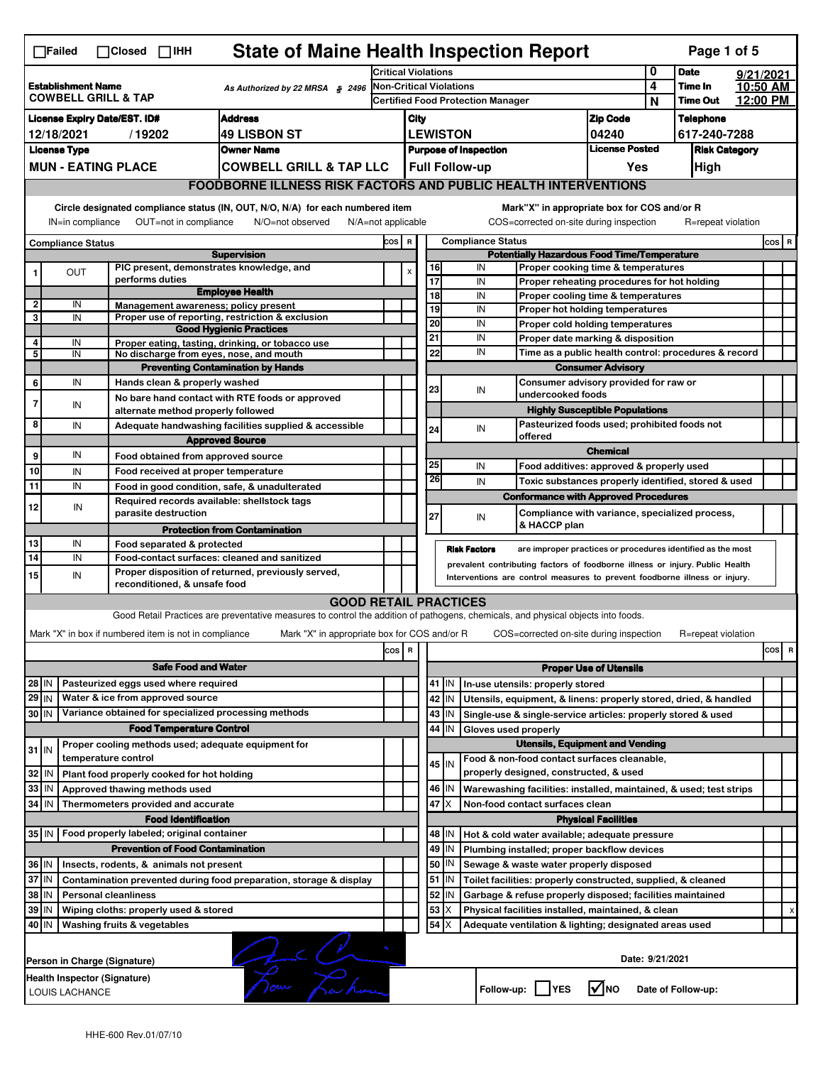|                                                                                                | <b>State of Maine Health Inspection Report</b><br>Page 1 of 5<br>$\Box$ Failed<br>$\Box$ Closed $\Box$ IHH                                                                                                                                                                                |  |                                                                             |                                                                                                                                   |                                                       |   |                         |                       |                          |                                                                                       |                                       |                            |                    |          |          |
|------------------------------------------------------------------------------------------------|-------------------------------------------------------------------------------------------------------------------------------------------------------------------------------------------------------------------------------------------------------------------------------------------|--|-----------------------------------------------------------------------------|-----------------------------------------------------------------------------------------------------------------------------------|-------------------------------------------------------|---|-------------------------|-----------------------|--------------------------|---------------------------------------------------------------------------------------|---------------------------------------|----------------------------|--------------------|----------|----------|
|                                                                                                |                                                                                                                                                                                                                                                                                           |  |                                                                             | <b>Critical Violations</b>                                                                                                        |                                                       |   |                         |                       |                          | 0                                                                                     | <b>Date</b>                           |                            | 9/21/2021          |          |          |
| <b>Establishment Name</b><br>As Authorized by 22 MRSA § 2496<br><b>COWBELL GRILL &amp; TAP</b> |                                                                                                                                                                                                                                                                                           |  |                                                                             |                                                                                                                                   |                                                       |   | Non-Critical Violations |                       |                          |                                                                                       | 4                                     | Time In<br><b>Time Out</b> | 12:00 PM           | 10:50 AM |          |
|                                                                                                | <b>Address</b><br><b>License Expiry Date/EST. ID#</b>                                                                                                                                                                                                                                     |  |                                                                             |                                                                                                                                   | <b>Certified Food Protection Manager</b>              |   |                         |                       |                          | N                                                                                     | <b>Telephone</b>                      |                            |                    |          |          |
| <b>49 LISBON ST</b><br>12/18/2021<br>/19202                                                    |                                                                                                                                                                                                                                                                                           |  |                                                                             | <b>Zip Code</b><br>City<br><b>LEWISTON</b><br>04240                                                                               |                                                       |   |                         |                       |                          | 617-240-7288                                                                          |                                       |                            |                    |          |          |
|                                                                                                | <b>License Type</b><br><b>Owner Name</b>                                                                                                                                                                                                                                                  |  |                                                                             |                                                                                                                                   | <b>License Posted</b><br><b>Purpose of Inspection</b> |   |                         |                       |                          |                                                                                       | <b>Risk Category</b>                  |                            |                    |          |          |
|                                                                                                |                                                                                                                                                                                                                                                                                           |  | <b>MUN - EATING PLACE</b>                                                   | <b>COWBELL GRILL &amp; TAP LLC</b>                                                                                                |                                                       |   |                         | <b>Full Follow-up</b> |                          |                                                                                       | Yes                                   |                            | High               |          |          |
|                                                                                                |                                                                                                                                                                                                                                                                                           |  |                                                                             | <b>FOODBORNE ILLNESS RISK FACTORS AND PUBLIC HEALTH INTERVENTIONS</b>                                                             |                                                       |   |                         |                       |                          |                                                                                       |                                       |                            |                    |          |          |
|                                                                                                | Circle designated compliance status (IN, OUT, N/O, N/A) for each numbered item<br>Mark"X" in appropriate box for COS and/or R<br>OUT=not in compliance<br>COS=corrected on-site during inspection<br>IN=in compliance<br>N/O=not observed<br>$N/A = not$ applicable<br>R=repeat violation |  |                                                                             |                                                                                                                                   |                                                       |   |                         |                       |                          |                                                                                       |                                       |                            |                    |          |          |
|                                                                                                | <b>Compliance Status</b>                                                                                                                                                                                                                                                                  |  |                                                                             |                                                                                                                                   | COS R                                                 |   |                         |                       | <b>Compliance Status</b> |                                                                                       |                                       |                            |                    |          | COS R    |
|                                                                                                |                                                                                                                                                                                                                                                                                           |  |                                                                             | <b>Supervision</b>                                                                                                                |                                                       |   |                         |                       |                          | <b>Potentially Hazardous Food Time/Temperature</b>                                    |                                       |                            |                    |          |          |
|                                                                                                | OUT                                                                                                                                                                                                                                                                                       |  | PIC present, demonstrates knowledge, and<br>performs duties                 |                                                                                                                                   |                                                       | X |                         | 16<br>$\overline{17}$ | IN<br>IN                 | Proper cooking time & temperatures<br>Proper reheating procedures for hot holding     |                                       |                            |                    |          |          |
|                                                                                                |                                                                                                                                                                                                                                                                                           |  |                                                                             | <b>Employee Health</b>                                                                                                            |                                                       |   |                         | 18                    | IN                       | Proper cooling time & temperatures                                                    |                                       |                            |                    |          |          |
| 2<br>3                                                                                         | IN                                                                                                                                                                                                                                                                                        |  | Management awareness: policy present                                        |                                                                                                                                   |                                                       |   |                         | 19                    | IN                       | Proper hot holding temperatures                                                       |                                       |                            |                    |          |          |
|                                                                                                | IN                                                                                                                                                                                                                                                                                        |  |                                                                             | Proper use of reporting, restriction & exclusion<br><b>Good Hygienic Practices</b>                                                |                                                       |   |                         | $\overline{20}$       | IN                       | Proper cold holding temperatures                                                      |                                       |                            |                    |          |          |
| 4                                                                                              | IN                                                                                                                                                                                                                                                                                        |  |                                                                             | Proper eating, tasting, drinking, or tobacco use                                                                                  |                                                       |   |                         | 21                    | IN                       | Proper date marking & disposition                                                     |                                       |                            |                    |          |          |
| 5                                                                                              | IN                                                                                                                                                                                                                                                                                        |  | No discharge from eyes, nose, and mouth                                     |                                                                                                                                   |                                                       |   |                         | 22                    | IN                       | Time as a public health control: procedures & record                                  |                                       |                            |                    |          |          |
|                                                                                                |                                                                                                                                                                                                                                                                                           |  |                                                                             | <b>Preventing Contamination by Hands</b>                                                                                          |                                                       |   |                         |                       |                          |                                                                                       | <b>Consumer Advisory</b>              |                            |                    |          |          |
| 6                                                                                              | IN                                                                                                                                                                                                                                                                                        |  | Hands clean & properly washed                                               | No bare hand contact with RTE foods or approved                                                                                   |                                                       |   |                         | 23                    | IN                       | Consumer advisory provided for raw or<br>undercooked foods                            |                                       |                            |                    |          |          |
| 7                                                                                              | IN                                                                                                                                                                                                                                                                                        |  | alternate method properly followed                                          |                                                                                                                                   |                                                       |   |                         |                       |                          |                                                                                       | <b>Highly Susceptible Populations</b> |                            |                    |          |          |
| 8                                                                                              | IN                                                                                                                                                                                                                                                                                        |  |                                                                             | Adequate handwashing facilities supplied & accessible                                                                             |                                                       |   |                         | 24                    | IN                       | Pasteurized foods used; prohibited foods not                                          |                                       |                            |                    |          |          |
|                                                                                                |                                                                                                                                                                                                                                                                                           |  |                                                                             | <b>Approved Source</b>                                                                                                            |                                                       |   |                         |                       |                          | offered                                                                               |                                       |                            |                    |          |          |
| 9                                                                                              | IN                                                                                                                                                                                                                                                                                        |  | Food obtained from approved source                                          |                                                                                                                                   |                                                       |   |                         |                       |                          |                                                                                       | <b>Chemical</b>                       |                            |                    |          |          |
| 10                                                                                             | IN                                                                                                                                                                                                                                                                                        |  | Food received at proper temperature                                         |                                                                                                                                   |                                                       |   |                         | 25<br>26              | IN                       | Food additives: approved & properly used                                              |                                       |                            |                    |          |          |
| 11                                                                                             | IN                                                                                                                                                                                                                                                                                        |  |                                                                             | Food in good condition, safe, & unadulterated                                                                                     |                                                       |   |                         |                       | IN                       | Toxic substances properly identified, stored & used                                   |                                       |                            |                    |          |          |
| 12                                                                                             | IN                                                                                                                                                                                                                                                                                        |  | Required records available: shellstock tags                                 |                                                                                                                                   |                                                       |   |                         |                       |                          | <b>Conformance with Approved Procedures</b>                                           |                                       |                            |                    |          |          |
|                                                                                                |                                                                                                                                                                                                                                                                                           |  | parasite destruction                                                        |                                                                                                                                   |                                                       |   |                         | 27                    | IN                       | Compliance with variance, specialized process,<br>& HACCP plan                        |                                       |                            |                    |          |          |
| 13                                                                                             | IN                                                                                                                                                                                                                                                                                        |  | Food separated & protected                                                  | <b>Protection from Contamination</b>                                                                                              |                                                       |   |                         |                       |                          |                                                                                       |                                       |                            |                    |          |          |
| 14                                                                                             | IN                                                                                                                                                                                                                                                                                        |  |                                                                             | Food-contact surfaces: cleaned and sanitized                                                                                      |                                                       |   |                         |                       | <b>Risk Factors</b>      | are improper practices or procedures identified as the most                           |                                       |                            |                    |          |          |
| 15                                                                                             | IN                                                                                                                                                                                                                                                                                        |  |                                                                             | Proper disposition of returned, previously served,                                                                                |                                                       |   |                         |                       |                          | prevalent contributing factors of foodborne illness or injury. Public Health          |                                       |                            |                    |          |          |
|                                                                                                | Interventions are control measures to prevent foodborne illness or injury.<br>reconditioned, & unsafe food                                                                                                                                                                                |  |                                                                             |                                                                                                                                   |                                                       |   |                         |                       |                          |                                                                                       |                                       |                            |                    |          |          |
|                                                                                                |                                                                                                                                                                                                                                                                                           |  |                                                                             | <b>GOOD RETAIL PRACTICES</b>                                                                                                      |                                                       |   |                         |                       |                          |                                                                                       |                                       |                            |                    |          |          |
|                                                                                                |                                                                                                                                                                                                                                                                                           |  |                                                                             | Good Retail Practices are preventative measures to control the addition of pathogens, chemicals, and physical objects into foods. |                                                       |   |                         |                       |                          |                                                                                       |                                       |                            |                    |          |          |
|                                                                                                |                                                                                                                                                                                                                                                                                           |  | Mark "X" in box if numbered item is not in compliance                       | Mark "X" in appropriate box for COS and/or R                                                                                      |                                                       |   |                         |                       |                          | COS=corrected on-site during inspection                                               |                                       |                            | R=repeat violation |          |          |
|                                                                                                |                                                                                                                                                                                                                                                                                           |  |                                                                             |                                                                                                                                   | cos                                                   | R |                         |                       |                          |                                                                                       |                                       |                            |                    |          | cos<br>R |
|                                                                                                |                                                                                                                                                                                                                                                                                           |  | <b>Safe Food and Water</b>                                                  |                                                                                                                                   |                                                       |   |                         |                       |                          |                                                                                       | <b>Proper Use of Utensils</b>         |                            |                    |          |          |
| 28 IN                                                                                          |                                                                                                                                                                                                                                                                                           |  | Pasteurized eggs used where required                                        |                                                                                                                                   |                                                       |   |                         | 41   IN               |                          | In-use utensils: properly stored                                                      |                                       |                            |                    |          |          |
| 29 IN                                                                                          |                                                                                                                                                                                                                                                                                           |  | Water & ice from approved source                                            |                                                                                                                                   |                                                       |   |                         | 42 IN                 |                          | Utensils, equipment, & linens: properly stored, dried, & handled                      |                                       |                            |                    |          |          |
| 30 IN                                                                                          |                                                                                                                                                                                                                                                                                           |  | Variance obtained for specialized processing methods                        |                                                                                                                                   |                                                       |   |                         | 43   IN               |                          | Single-use & single-service articles: properly stored & used                          |                                       |                            |                    |          |          |
|                                                                                                |                                                                                                                                                                                                                                                                                           |  | <b>Food Temperature Control</b>                                             |                                                                                                                                   |                                                       |   |                         | 44<br>IN              | Gloves used properly     |                                                                                       |                                       |                            |                    |          |          |
| $31$ IN                                                                                        |                                                                                                                                                                                                                                                                                           |  | Proper cooling methods used; adequate equipment for<br>temperature control  |                                                                                                                                   |                                                       |   |                         |                       |                          | <b>Utensils, Equipment and Vending</b>                                                |                                       |                            |                    |          |          |
| 32                                                                                             | IN                                                                                                                                                                                                                                                                                        |  |                                                                             |                                                                                                                                   |                                                       |   |                         | 45 IN                 |                          | Food & non-food contact surfaces cleanable,<br>properly designed, constructed, & used |                                       |                            |                    |          |          |
| 33                                                                                             | IN                                                                                                                                                                                                                                                                                        |  | Plant food properly cooked for hot holding<br>Approved thawing methods used |                                                                                                                                   |                                                       |   |                         | 46   IN               |                          | Warewashing facilities: installed, maintained, & used; test strips                    |                                       |                            |                    |          |          |
| 34 IN                                                                                          |                                                                                                                                                                                                                                                                                           |  | Thermometers provided and accurate                                          |                                                                                                                                   |                                                       |   |                         | 47<br>ΙX              |                          | Non-food contact surfaces clean                                                       |                                       |                            |                    |          |          |
|                                                                                                |                                                                                                                                                                                                                                                                                           |  | <b>Food Identification</b>                                                  |                                                                                                                                   |                                                       |   |                         |                       |                          |                                                                                       | <b>Physical Facilities</b>            |                            |                    |          |          |
| 35 IN                                                                                          |                                                                                                                                                                                                                                                                                           |  | Food properly labeled; original container                                   |                                                                                                                                   |                                                       |   |                         | 48<br>ΙN              |                          | Hot & cold water available; adequate pressure                                         |                                       |                            |                    |          |          |
|                                                                                                |                                                                                                                                                                                                                                                                                           |  | <b>Prevention of Food Contamination</b>                                     |                                                                                                                                   |                                                       |   |                         | 49 IN                 |                          | Plumbing installed; proper backflow devices                                           |                                       |                            |                    |          |          |
| 36 IN                                                                                          |                                                                                                                                                                                                                                                                                           |  | Insects, rodents, & animals not present                                     |                                                                                                                                   |                                                       |   |                         | 50   IN               |                          | Sewage & waste water properly disposed                                                |                                       |                            |                    |          |          |
| 37 IN                                                                                          |                                                                                                                                                                                                                                                                                           |  |                                                                             | Contamination prevented during food preparation, storage & display                                                                |                                                       |   |                         | 51   IN               |                          | Toilet facilities: properly constructed, supplied, & cleaned                          |                                       |                            |                    |          |          |
| 38 IN                                                                                          |                                                                                                                                                                                                                                                                                           |  | <b>Personal cleanliness</b>                                                 |                                                                                                                                   |                                                       |   |                         | 52<br>IN              |                          | Garbage & refuse properly disposed; facilities maintained                             |                                       |                            |                    |          |          |
| 39 IN                                                                                          |                                                                                                                                                                                                                                                                                           |  | Wiping cloths: properly used & stored                                       |                                                                                                                                   |                                                       |   |                         | 53<br>X               |                          | Physical facilities installed, maintained, & clean                                    |                                       |                            |                    |          |          |
| 40 IN                                                                                          |                                                                                                                                                                                                                                                                                           |  | Washing fruits & vegetables                                                 |                                                                                                                                   |                                                       |   |                         | $54$ $\times$         |                          | Adequate ventilation & lighting; designated areas used                                |                                       |                            |                    |          |          |
|                                                                                                | Le Creation<br>Date: 9/21/2021<br>Person in Charge (Signature)                                                                                                                                                                                                                            |  |                                                                             |                                                                                                                                   |                                                       |   |                         |                       |                          |                                                                                       |                                       |                            |                    |          |          |
|                                                                                                | Health Inspector (Signature)<br>∣√мо<br>Follow-up:  <br><b>IYES</b><br>Date of Follow-up:<br>LOUIS LACHANCE                                                                                                                                                                               |  |                                                                             |                                                                                                                                   |                                                       |   |                         |                       |                          |                                                                                       |                                       |                            |                    |          |          |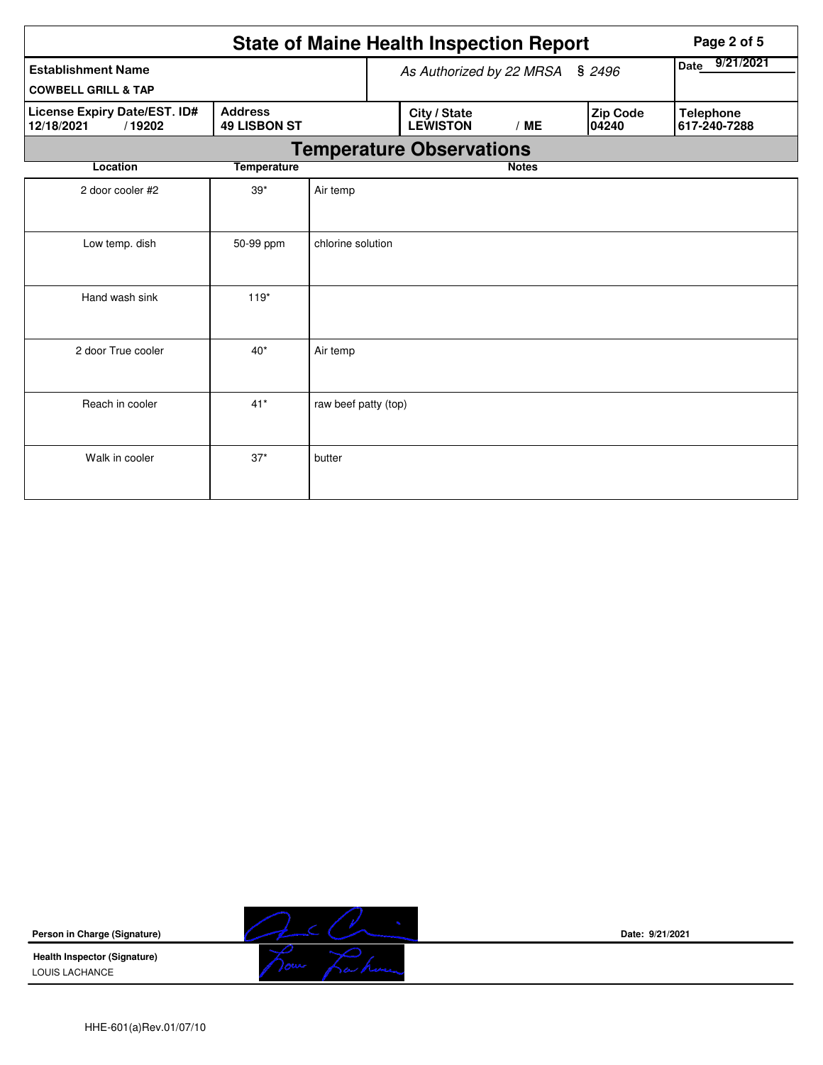| <b>State of Maine Health Inspection Report</b>              |                                       |                                 |  |                                 |              |  | Page 2 of 5              |                                  |  |
|-------------------------------------------------------------|---------------------------------------|---------------------------------|--|---------------------------------|--------------|--|--------------------------|----------------------------------|--|
| <b>Establishment Name</b><br><b>COWBELL GRILL &amp; TAP</b> |                                       | As Authorized by 22 MRSA § 2496 |  |                                 |              |  | 9/21/2021<br>Date        |                                  |  |
| <b>License Expiry Date/EST. ID#</b><br>/19202<br>12/18/2021 | <b>Address</b><br><b>49 LISBON ST</b> |                                 |  | City / State<br><b>LEWISTON</b> | /ME          |  | <b>Zip Code</b><br>04240 | <b>Telephone</b><br>617-240-7288 |  |
|                                                             |                                       |                                 |  | <b>Temperature Observations</b> |              |  |                          |                                  |  |
| Location                                                    | <b>Temperature</b>                    |                                 |  |                                 | <b>Notes</b> |  |                          |                                  |  |
| 2 door cooler #2                                            | $39*$                                 | Air temp                        |  |                                 |              |  |                          |                                  |  |
| Low temp. dish                                              | 50-99 ppm                             | chlorine solution               |  |                                 |              |  |                          |                                  |  |
| Hand wash sink                                              | $119*$                                |                                 |  |                                 |              |  |                          |                                  |  |
| 2 door True cooler                                          | $40*$                                 | Air temp                        |  |                                 |              |  |                          |                                  |  |
| Reach in cooler                                             | $41*$                                 | raw beef patty (top)            |  |                                 |              |  |                          |                                  |  |
| Walk in cooler                                              | $37*$                                 | butter                          |  |                                 |              |  |                          |                                  |  |

**Person in Charge (Signature)**

**Health Inspector (Signature)**  LOUIS LACHANCE



**Date: 9/21/2021**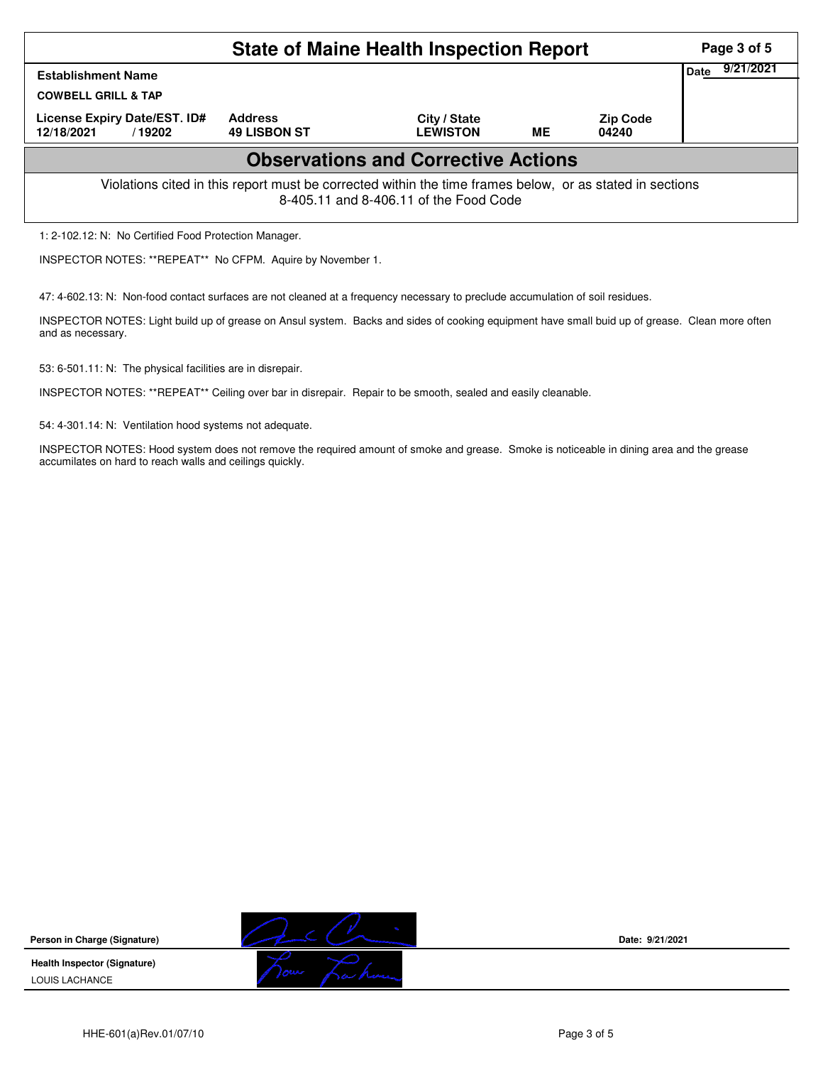| <b>State of Maine Health Inspection Report</b>                                                                                                     |                                       |                                 |           |                          |                   |  |  |  |
|----------------------------------------------------------------------------------------------------------------------------------------------------|---------------------------------------|---------------------------------|-----------|--------------------------|-------------------|--|--|--|
| <b>Establishment Name</b><br><b>COWBELL GRILL &amp; TAP</b>                                                                                        |                                       |                                 |           |                          | 9/21/2021<br>Date |  |  |  |
| License Expiry Date/EST. ID#<br>12/18/2021<br>/19202                                                                                               | <b>Address</b><br><b>49 LISBON ST</b> | City / State<br><b>LEWISTON</b> | <b>ME</b> | <b>Zip Code</b><br>04240 |                   |  |  |  |
| <b>Observations and Corrective Actions</b>                                                                                                         |                                       |                                 |           |                          |                   |  |  |  |
| Violations cited in this report must be corrected within the time frames below, or as stated in sections<br>8-405.11 and 8-406.11 of the Food Code |                                       |                                 |           |                          |                   |  |  |  |

1: 2-102.12: N: No Certified Food Protection Manager.

INSPECTOR NOTES: \*\*REPEAT\*\* No CFPM. Aquire by November 1.

47: 4-602.13: N: Non-food contact surfaces are not cleaned at a frequency necessary to preclude accumulation of soil residues.

INSPECTOR NOTES: Light build up of grease on Ansul system. Backs and sides of cooking equipment have small buid up of grease. Clean more often and as necessary.

53: 6-501.11: N: The physical facilities are in disrepair.

INSPECTOR NOTES: \*\*REPEAT\*\* Ceiling over bar in disrepair. Repair to be smooth, sealed and easily cleanable.

54: 4-301.14: N: Ventilation hood systems not adequate.

INSPECTOR NOTES: Hood system does not remove the required amount of smoke and grease. Smoke is noticeable in dining area and the grease accumilates on hard to reach walls and ceilings quickly.

**Person in Charge (Signature) Health Inspector (Signature)** 

LOUIS LACHANCE



**Date: 9/21/2021**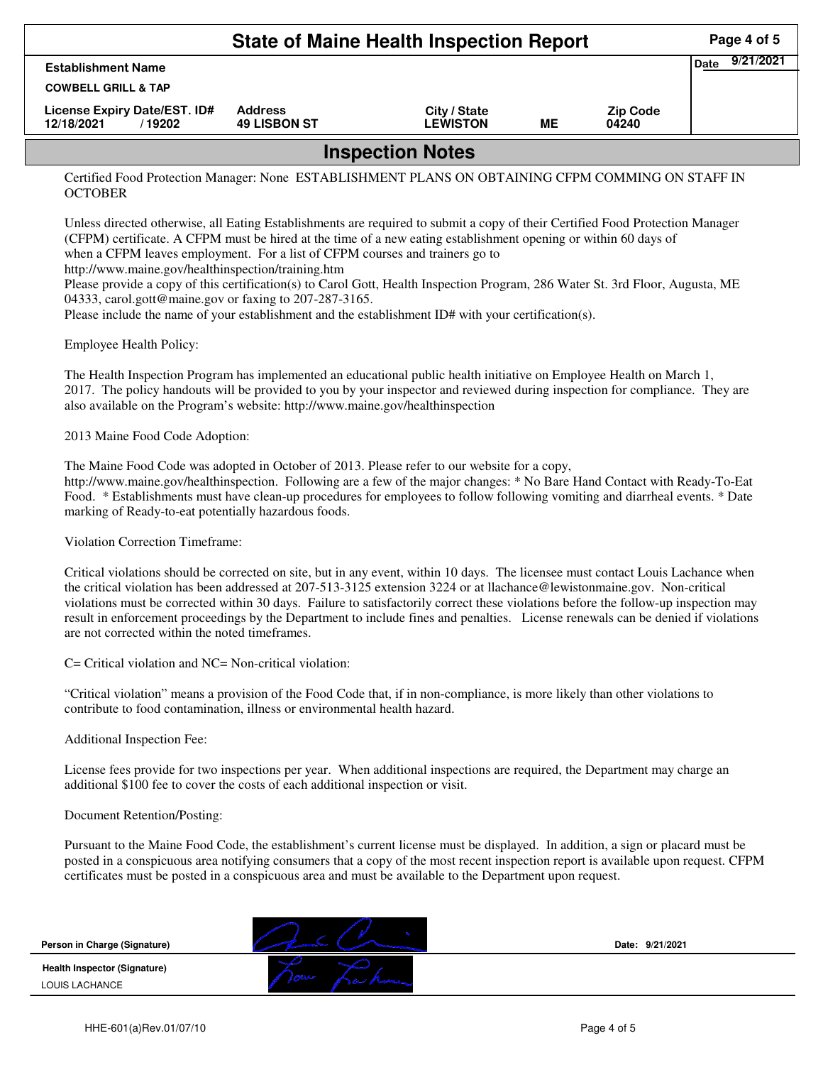|                                                             | Page 4 of 5                           |                                 |    |                          |  |  |  |
|-------------------------------------------------------------|---------------------------------------|---------------------------------|----|--------------------------|--|--|--|
| <b>Establishment Name</b><br><b>COWBELL GRILL &amp; TAP</b> | 9/21/2021<br><b>Date</b>              |                                 |    |                          |  |  |  |
|                                                             |                                       |                                 |    |                          |  |  |  |
| License Expiry Date/EST. ID#<br>12/18/2021<br>/ 19202       | <b>Address</b><br><b>49 LISBON ST</b> | City / State<br><b>LEWISTON</b> | ME | <b>Zip Code</b><br>04240 |  |  |  |
| <b>Inspection Notes</b>                                     |                                       |                                 |    |                          |  |  |  |

Certified Food Protection Manager: None ESTABLISHMENT PLANS ON OBTAINING CFPM COMMING ON STAFF IN **OCTOBER** 

Unless directed otherwise, all Eating Establishments are required to submit a copy of their Certified Food Protection Manager (CFPM) certificate. A CFPM must be hired at the time of a new eating establishment opening or within 60 days of when a CFPM leaves employment. For a list of CFPM courses and trainers go to http://www.maine.gov/healthinspection/training.htm

Please provide a copy of this certification(s) to Carol Gott, Health Inspection Program, 286 Water St. 3rd Floor, Augusta, ME 04333, carol.gott@maine.gov or faxing to 207-287-3165.

Please include the name of your establishment and the establishment ID# with your certification(s).

Employee Health Policy:

The Health Inspection Program has implemented an educational public health initiative on Employee Health on March 1, 2017. The policy handouts will be provided to you by your inspector and reviewed during inspection for compliance. They are also available on the Program's website: http://www.maine.gov/healthinspection

2013 Maine Food Code Adoption:

The Maine Food Code was adopted in October of 2013. Please refer to our website for a copy,

http://www.maine.gov/healthinspection. Following are a few of the major changes: \* No Bare Hand Contact with Ready-To-Eat Food. \* Establishments must have clean-up procedures for employees to follow following vomiting and diarrheal events. \* Date marking of Ready-to-eat potentially hazardous foods.

Violation Correction Timeframe:

Critical violations should be corrected on site, but in any event, within 10 days. The licensee must contact Louis Lachance when the critical violation has been addressed at 207-513-3125 extension 3224 or at llachance@lewistonmaine.gov. Non-critical violations must be corrected within 30 days. Failure to satisfactorily correct these violations before the follow-up inspection may result in enforcement proceedings by the Department to include fines and penalties. License renewals can be denied if violations are not corrected within the noted timeframes.

C= Critical violation and NC= Non-critical violation:

"Critical violation" means a provision of the Food Code that, if in non-compliance, is more likely than other violations to contribute to food contamination, illness or environmental health hazard.

Additional Inspection Fee:

License fees provide for two inspections per year. When additional inspections are required, the Department may charge an additional \$100 fee to cover the costs of each additional inspection or visit.

Document Retention/Posting:

Pursuant to the Maine Food Code, the establishment's current license must be displayed. In addition, a sign or placard must be posted in a conspicuous area notifying consumers that a copy of the most recent inspection report is available upon request. CFPM certificates must be posted in a conspicuous area and must be available to the Department upon request.

| Person in Charge (Signature)                          |                     | Date: 9/21/2021 |
|-------------------------------------------------------|---------------------|-----------------|
| <b>Health Inspector (Signature)</b><br>LOUIS LACHANCE | <b><i>LOURE</i></b> |                 |